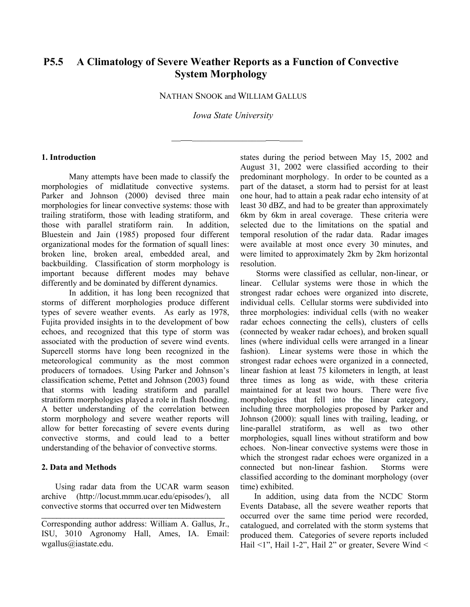# **P5.5 A Climatology of Severe Weather Reports as a Function of Convective System Morphology**

NATHAN SNOOK and WILLIAM GALLUS

*Iowa State University* 

 $\frac{1}{\sqrt{2\pi}}\frac{1}{\sqrt{2\pi}}\left[\frac{1}{\sqrt{2\pi}}\frac{1}{\sqrt{2\pi}}\frac{1}{\sqrt{2\pi}}\frac{1}{\sqrt{2\pi}}\frac{1}{\sqrt{2\pi}}\frac{1}{\sqrt{2\pi}}\frac{1}{\sqrt{2\pi}}\frac{1}{\sqrt{2\pi}}\frac{1}{\sqrt{2\pi}}\frac{1}{\sqrt{2\pi}}\frac{1}{\sqrt{2\pi}}\frac{1}{\sqrt{2\pi}}\frac{1}{\sqrt{2\pi}}\frac{1}{\sqrt{2\pi}}\frac{1}{\sqrt{2\pi}}\frac{1}{\sqrt{2\pi}}\frac$ 

# **1. Introduction**

Many attempts have been made to classify the morphologies of midlatitude convective systems. Parker and Johnson (2000) devised three main morphologies for linear convective systems: those with trailing stratiform, those with leading stratiform, and those with parallel stratiform rain. In addition, Bluestein and Jain (1985) proposed four different organizational modes for the formation of squall lines: broken line, broken areal, embedded areal, and backbuilding. Classification of storm morphology is important because different modes may behave differently and be dominated by different dynamics.

In addition, it has long been recognized that storms of different morphologies produce different types of severe weather events. As early as 1978, Fujita provided insights in to the development of bow echoes, and recognized that this type of storm was associated with the production of severe wind events. Supercell storms have long been recognized in the meteorological community as the most common producers of tornadoes. Using Parker and Johnson's classification scheme, Pettet and Johnson (2003) found that storms with leading stratiform and parallel stratiform morphologies played a role in flash flooding. A better understanding of the correlation between storm morphology and severe weather reports will allow for better forecasting of severe events during convective storms, and could lead to a better understanding of the behavior of convective storms.

### **2. Data and Methods**

Using radar data from the UCAR warm season archive (http://locust.mmm.ucar.edu/episodes/), all convective storms that occurred over ten Midwestern

 $\mathcal{L}_\text{max}$  and  $\mathcal{L}_\text{max}$  and  $\mathcal{L}_\text{max}$  and  $\mathcal{L}_\text{max}$ 

states during the period between May 15, 2002 and August 31, 2002 were classified according to their predominant morphology. In order to be counted as a part of the dataset, a storm had to persist for at least one hour, had to attain a peak radar echo intensity of at least 30 dBZ, and had to be greater than approximately 6km by 6km in areal coverage. These criteria were selected due to the limitations on the spatial and temporal resolution of the radar data. Radar images were available at most once every 30 minutes, and were limited to approximately 2km by 2km horizontal resolution.

 Storms were classified as cellular, non-linear, or linear. Cellular systems were those in which the strongest radar echoes were organized into discrete, individual cells. Cellular storms were subdivided into three morphologies: individual cells (with no weaker radar echoes connecting the cells), clusters of cells (connected by weaker radar echoes), and broken squall lines (where individual cells were arranged in a linear fashion). Linear systems were those in which the strongest radar echoes were organized in a connected, linear fashion at least 75 kilometers in length, at least three times as long as wide, with these criteria maintained for at least two hours. There were five morphologies that fell into the linear category, including three morphologies proposed by Parker and Johnson (2000): squall lines with trailing, leading, or line-parallel stratiform, as well as two other morphologies, squall lines without stratiform and bow echoes. Non-linear convective systems were those in which the strongest radar echoes were organized in a connected but non-linear fashion. Storms were classified according to the dominant morphology (over time) exhibited.

In addition, using data from the NCDC Storm Events Database, all the severe weather reports that occurred over the same time period were recorded, catalogued, and correlated with the storm systems that produced them. Categories of severe reports included Hail <1", Hail 1-2", Hail 2" or greater, Severe Wind <

Corresponding author address: William A. Gallus, Jr., ISU, 3010 Agronomy Hall, Ames, IA. Email: wgallus@iastate.edu.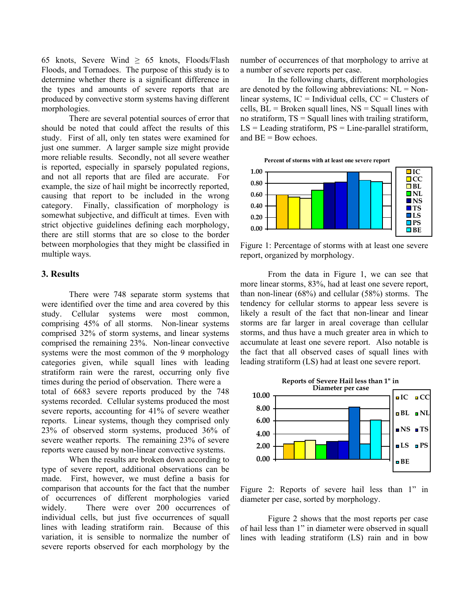65 knots, Severe Wind  $\geq$  65 knots, Floods/Flash Floods, and Tornadoes. The purpose of this study is to determine whether there is a significant difference in the types and amounts of severe reports that are produced by convective storm systems having different morphologies.

There are several potential sources of error that should be noted that could affect the results of this study. First of all, only ten states were examined for just one summer. A larger sample size might provide more reliable results. Secondly, not all severe weather is reported, especially in sparsely populated regions, and not all reports that are filed are accurate. For example, the size of hail might be incorrectly reported, causing that report to be included in the wrong category. Finally, classification of morphology is somewhat subjective, and difficult at times. Even with strict objective guidelines defining each morphology, there are still storms that are so close to the border between morphologies that they might be classified in multiple ways.

# **3. Results**

There were 748 separate storm systems that were identified over the time and area covered by this study. Cellular systems were most common, comprising 45% of all storms. Non-linear systems comprised 32% of storm systems, and linear systems comprised the remaining 23%. Non-linear convective systems were the most common of the 9 morphology categories given, while squall lines with leading stratiform rain were the rarest, occurring only five times during the period of observation. There were a total of 6683 severe reports produced by the 748 systems recorded. Cellular systems produced the most severe reports, accounting for 41% of severe weather reports. Linear systems, though they comprised only 23% of observed storm systems, produced 36% of severe weather reports. The remaining 23% of severe reports were caused by non-linear convective systems.

When the results are broken down according to type of severe report, additional observations can be made. First, however, we must define a basis for comparison that accounts for the fact that the number of occurrences of different morphologies varied widely. There were over 200 occurrences of individual cells, but just five occurrences of squall lines with leading stratiform rain. Because of this variation, it is sensible to normalize the number of severe reports observed for each morphology by the number of occurrences of that morphology to arrive at a number of severe reports per case.

In the following charts, different morphologies are denoted by the following abbreviations:  $NL = Non$ linear systems,  $IC =$  Individual cells,  $CC =$  Clusters of cells,  $BL = B$ roken squall lines,  $NS = S$ quall lines with no stratiform, TS = Squall lines with trailing stratiform,  $LS =$  Leading stratiform,  $PS =$  Line-parallel stratiform, and BE = Bow echoes.



Figure 1: Percentage of storms with at least one severe report, organized by morphology.

From the data in Figure 1, we can see that more linear storms, 83%, had at least one severe report, than non-linear (68%) and cellular (58%) storms. The tendency for cellular storms to appear less severe is likely a result of the fact that non-linear and linear storms are far larger in areal coverage than cellular storms, and thus have a much greater area in which to accumulate at least one severe report. Also notable is the fact that all observed cases of squall lines with leading stratiform (LS) had at least one severe report.



Figure 2: Reports of severe hail less than 1" in diameter per case, sorted by morphology.

Figure 2 shows that the most reports per case of hail less than 1" in diameter were observed in squall lines with leading stratiform (LS) rain and in bow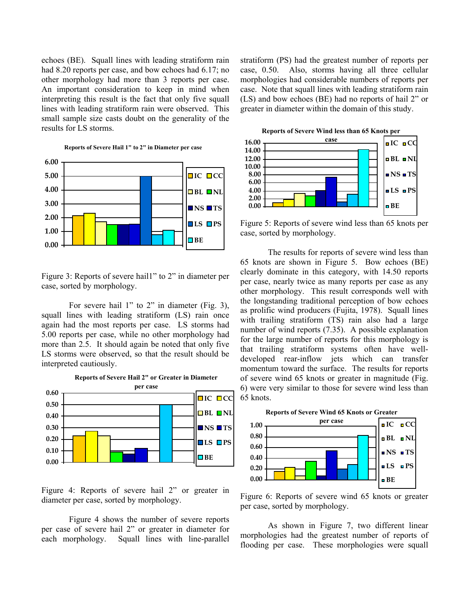echoes (BE). Squall lines with leading stratiform rain had 8.20 reports per case, and bow echoes had 6.17; no other morphology had more than 3 reports per case. An important consideration to keep in mind when interpreting this result is the fact that only five squall lines with leading stratiform rain were observed. This small sample size casts doubt on the generality of the results for LS storms.

**Reports of Severe Hail 1" to 2" in Diameter per case**



Figure 3: Reports of severe hail1" to 2" in diameter per case, sorted by morphology.

For severe hail 1" to 2" in diameter (Fig. 3), squall lines with leading stratiform (LS) rain once again had the most reports per case. LS storms had 5.00 reports per case, while no other morphology had more than 2.5. It should again be noted that only five LS storms were observed, so that the result should be interpreted cautiously.



Figure 4: Reports of severe hail 2" or greater in diameter per case, sorted by morphology.

Figure 4 shows the number of severe reports per case of severe hail 2" or greater in diameter for each morphology. Squall lines with line-parallel stratiform (PS) had the greatest number of reports per case, 0.50. Also, storms having all three cellular morphologies had considerable numbers of reports per case. Note that squall lines with leading stratiform rain (LS) and bow echoes (BE) had no reports of hail 2" or greater in diameter within the domain of this study.



Figure 5: Reports of severe wind less than 65 knots per case, sorted by morphology.

The results for reports of severe wind less than 65 knots are shown in Figure 5. Bow echoes (BE) clearly dominate in this category, with 14.50 reports per case, nearly twice as many reports per case as any other morphology. This result corresponds well with the longstanding traditional perception of bow echoes as prolific wind producers (Fujita, 1978). Squall lines with trailing stratiform (TS) rain also had a large number of wind reports (7.35). A possible explanation for the large number of reports for this morphology is that trailing stratiform systems often have welldeveloped rear-inflow jets which can transfer momentum toward the surface. The results for reports of severe wind 65 knots or greater in magnitude (Fig. 6) were very similar to those for severe wind less than 65 knots.



Figure 6: Reports of severe wind 65 knots or greater per case, sorted by morphology.

As shown in Figure 7, two different linear morphologies had the greatest number of reports of flooding per case. These morphologies were squall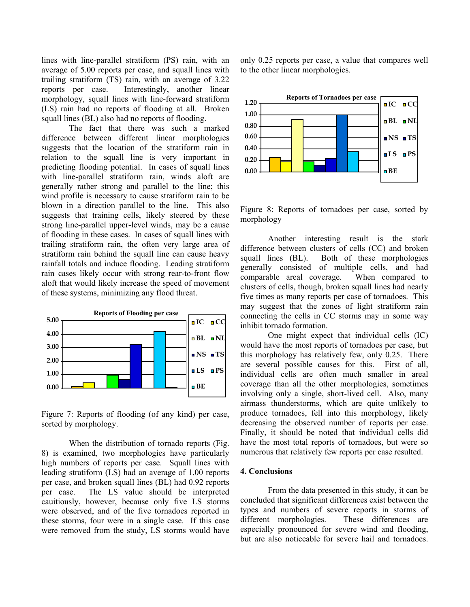lines with line-parallel stratiform (PS) rain, with an average of 5.00 reports per case, and squall lines with trailing stratiform (TS) rain, with an average of 3.22 reports per case. Interestingly, another linear morphology, squall lines with line-forward stratiform (LS) rain had no reports of flooding at all. Broken squall lines (BL) also had no reports of flooding.

The fact that there was such a marked difference between different linear morphologies suggests that the location of the stratiform rain in relation to the squall line is very important in predicting flooding potential. In cases of squall lines with line-parallel stratiform rain, winds aloft are generally rather strong and parallel to the line; this wind profile is necessary to cause stratiform rain to be blown in a direction parallel to the line. This also suggests that training cells, likely steered by these strong line-parallel upper-level winds, may be a cause of flooding in these cases. In cases of squall lines with trailing stratiform rain, the often very large area of stratiform rain behind the squall line can cause heavy rainfall totals and induce flooding. Leading stratiform rain cases likely occur with strong rear-to-front flow aloft that would likely increase the speed of movement of these systems, minimizing any flood threat.



Figure 7: Reports of flooding (of any kind) per case, sorted by morphology.

When the distribution of tornado reports (Fig. 8) is examined, two morphologies have particularly high numbers of reports per case. Squall lines with leading stratiform (LS) had an average of 1.00 reports per case, and broken squall lines (BL) had 0.92 reports per case. The LS value should be interpreted cauitiously, however, because only five LS storms were observed, and of the five tornadoes reported in these storms, four were in a single case. If this case were removed from the study, LS storms would have only 0.25 reports per case, a value that compares well to the other linear morphologies.



Figure 8: Reports of tornadoes per case, sorted by morphology

Another interesting result is the stark difference between clusters of cells (CC) and broken squall lines (BL). Both of these morphologies generally consisted of multiple cells, and had comparable areal coverage. When compared to clusters of cells, though, broken squall lines had nearly five times as many reports per case of tornadoes. This may suggest that the zones of light stratiform rain connecting the cells in CC storms may in some way inhibit tornado formation.

One might expect that individual cells (IC) would have the most reports of tornadoes per case, but this morphology has relatively few, only 0.25. There are several possible causes for this. First of all, individual cells are often much smaller in areal coverage than all the other morphologies, sometimes involving only a single, short-lived cell. Also, many airmass thunderstorms, which are quite unlikely to produce tornadoes, fell into this morphology, likely decreasing the observed number of reports per case. Finally, it should be noted that individual cells did have the most total reports of tornadoes, but were so numerous that relatively few reports per case resulted.

#### **4. Conclusions**

From the data presented in this study, it can be concluded that significant differences exist between the types and numbers of severe reports in storms of different morphologies. These differences are especially pronounced for severe wind and flooding, but are also noticeable for severe hail and tornadoes.